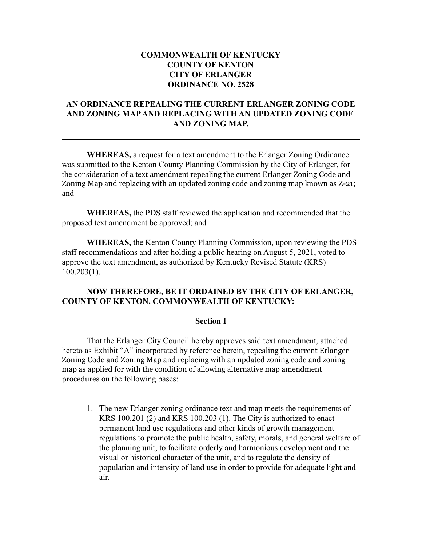# **COMMONWEALTH OF KENTUCKY COUNTY OF KENTON CITY OF ERLANGER ORDINANCE NO. 2528**

# **AN ORDINANCE REPEALING THE CURRENT ERLANGER ZONING CODE AND ZONING MAP AND REPLACING WITH AN UPDATED ZONING CODE AND ZONING MAP.**

**WHEREAS,** a request for a text amendment to the Erlanger Zoning Ordinance was submitted to the Kenton County Planning Commission by the City of Erlanger, for the consideration of a text amendment repealing the current Erlanger Zoning Code and Zoning Map and replacing with an updated zoning code and zoning map known as Z-21; and

**WHEREAS,** the PDS staff reviewed the application and recommended that the proposed text amendment be approved; and

**WHEREAS,** the Kenton County Planning Commission, upon reviewing the PDS staff recommendations and after holding a public hearing on August 5, 2021, voted to approve the text amendment, as authorized by Kentucky Revised Statute (KRS) 100.203(1).

### **NOW THEREFORE, BE IT ORDAINED BY THE CITY OF ERLANGER, COUNTY OF KENTON, COMMONWEALTH OF KENTUCKY:**

#### **Section I**

That the Erlanger City Council hereby approves said text amendment, attached hereto as Exhibit "A" incorporated by reference herein, repealing the current Erlanger Zoning Code and Zoning Map and replacing with an updated zoning code and zoning map as applied for with the condition of allowing alternative map amendment procedures on the following bases:

1. The new Erlanger zoning ordinance text and map meets the requirements of KRS 100.201 (2) and KRS 100.203 (1). The City is authorized to enact permanent land use regulations and other kinds of growth management regulations to promote the public health, safety, morals, and general welfare of the planning unit, to facilitate orderly and harmonious development and the visual or historical character of the unit, and to regulate the density of population and intensity of land use in order to provide for adequate light and air.